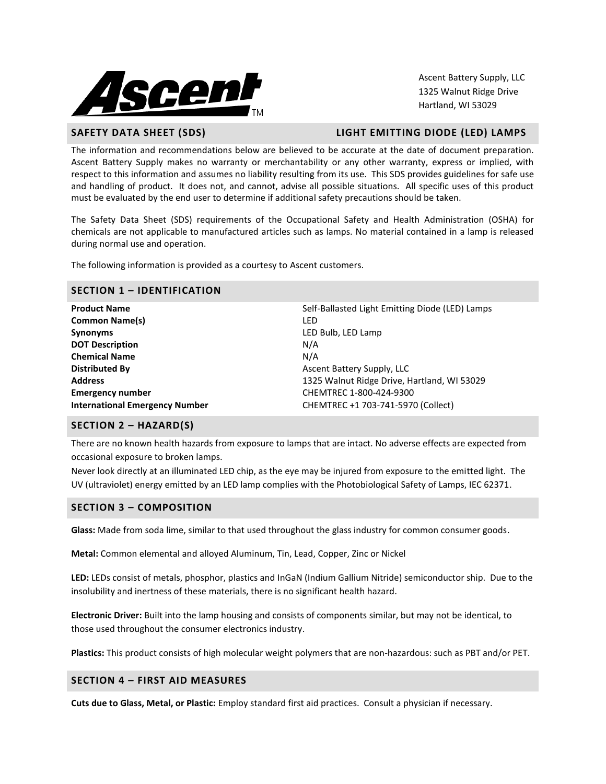

Ascent Battery Supply, LLC 1325 Walnut Ridge Drive Hartland, WI 53029

#### **SAFETY DATA SHEET (SDS) LIGHT EMITTING DIODE (LED) LAMPS**

The information and recommendations below are believed to be accurate at the date of document preparation. Ascent Battery Supply makes no warranty or merchantability or any other warranty, express or implied, with respect to this information and assumes no liability resulting from its use. This SDS provides guidelines for safe use and handling of product. It does not, and cannot, advise all possible situations. All specific uses of this product must be evaluated by the end user to determine if additional safety precautions should be taken.

The Safety Data Sheet (SDS) requirements of the Occupational Safety and Health Administration (OSHA) for chemicals are not applicable to manufactured articles such as lamps. No material contained in a lamp is released during normal use and operation.

The following information is provided as a courtesy to Ascent customers.

# **SECTION 1 – IDENTIFICATION**

| <b>Product Name</b>                   | Self-Ballasted Light Emitting Diode (LED) Lamps |
|---------------------------------------|-------------------------------------------------|
| <b>Common Name(s)</b>                 | LED                                             |
| <b>Synonyms</b>                       | LED Bulb, LED Lamp                              |
| <b>DOT Description</b>                | N/A                                             |
| <b>Chemical Name</b>                  | N/A                                             |
| <b>Distributed By</b>                 | Ascent Battery Supply, LLC                      |
| <b>Address</b>                        | 1325 Walnut Ridge Drive, Hartland, WI 53029     |
| <b>Emergency number</b>               | CHEMTREC 1-800-424-9300                         |
| <b>International Emergency Number</b> | CHEMTREC +1 703-741-5970 (Collect)              |
|                                       |                                                 |

#### **SECTION 2 – HAZARD(S)**

There are no known health hazards from exposure to lamps that are intact. No adverse effects are expected from occasional exposure to broken lamps.

Never look directly at an illuminated LED chip, as the eye may be injured from exposure to the emitted light. The UV (ultraviolet) energy emitted by an LED lamp complies with the Photobiological Safety of Lamps, IEC 62371.

#### **SECTION 3 – COMPOSITION**

**Glass:** Made from soda lime, similar to that used throughout the glass industry for common consumer goods.

**Metal:** Common elemental and alloyed Aluminum, Tin, Lead, Copper, Zinc or Nickel

**LED:** LEDs consist of metals, phosphor, plastics and InGaN (Indium Gallium Nitride) semiconductor ship. Due to the insolubility and inertness of these materials, there is no significant health hazard.

**Electronic Driver:** Built into the lamp housing and consists of components similar, but may not be identical, to those used throughout the consumer electronics industry.

**Plastics:** This product consists of high molecular weight polymers that are non-hazardous: such as PBT and/or PET.

# **SECTION 4 – FIRST AID MEASURES**

**Cuts due to Glass, Metal, or Plastic:** Employ standard first aid practices. Consult a physician if necessary.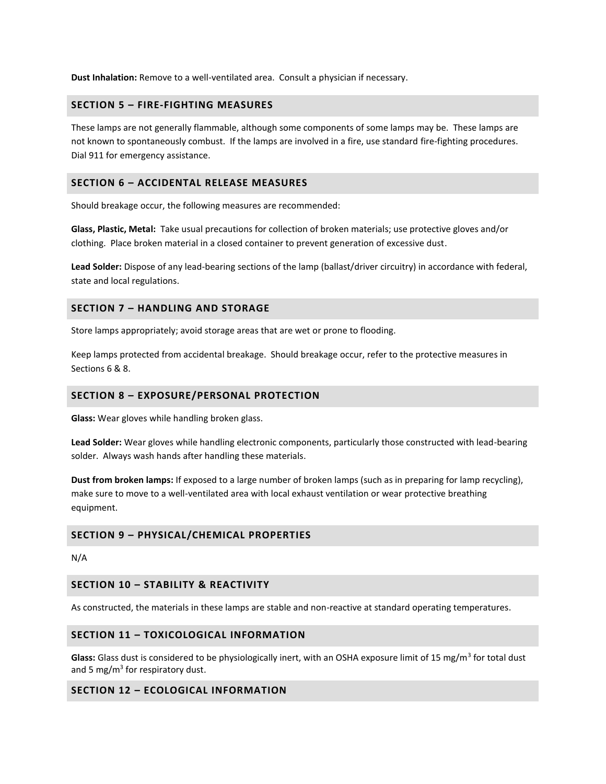**Dust Inhalation:** Remove to a well-ventilated area. Consult a physician if necessary.

#### **SECTION 5 – FIRE-FIGHTING MEASURES**

These lamps are not generally flammable, although some components of some lamps may be. These lamps are not known to spontaneously combust. If the lamps are involved in a fire, use standard fire-fighting procedures. Dial 911 for emergency assistance.

#### **SECTION 6 – ACCIDENTAL RELEASE MEASURES**

Should breakage occur, the following measures are recommended:

**Glass, Plastic, Metal:** Take usual precautions for collection of broken materials; use protective gloves and/or clothing. Place broken material in a closed container to prevent generation of excessive dust.

**Lead Solder:** Dispose of any lead-bearing sections of the lamp (ballast/driver circuitry) in accordance with federal, state and local regulations.

#### **SECTION 7 – HANDLING AND STORAGE**

Store lamps appropriately; avoid storage areas that are wet or prone to flooding.

Keep lamps protected from accidental breakage. Should breakage occur, refer to the protective measures in Sections 6 & 8.

#### **SECTION 8 – EXPOSURE/PERSONAL PROTECTION**

**Glass:** Wear gloves while handling broken glass.

**Lead Solder:** Wear gloves while handling electronic components, particularly those constructed with lead-bearing solder. Always wash hands after handling these materials.

**Dust from broken lamps:** If exposed to a large number of broken lamps (such as in preparing for lamp recycling), make sure to move to a well-ventilated area with local exhaust ventilation or wear protective breathing equipment.

#### **SECTION 9 – PHYSICAL/CHEMICAL PROPERTIES**

N/A

### **SECTION 10 – STABILITY & REACTIVITY**

As constructed, the materials in these lamps are stable and non-reactive at standard operating temperatures.

### **SECTION 11 – TOXICOLOGICAL INFORMATION**

Glass: Glass dust is considered to be physiologically inert, with an OSHA exposure limit of 15 mg/m<sup>3</sup> for total dust and 5 mg/m<sup>3</sup> for respiratory dust.

#### **SECTION 12 – ECOLOGICAL INFORMATION**